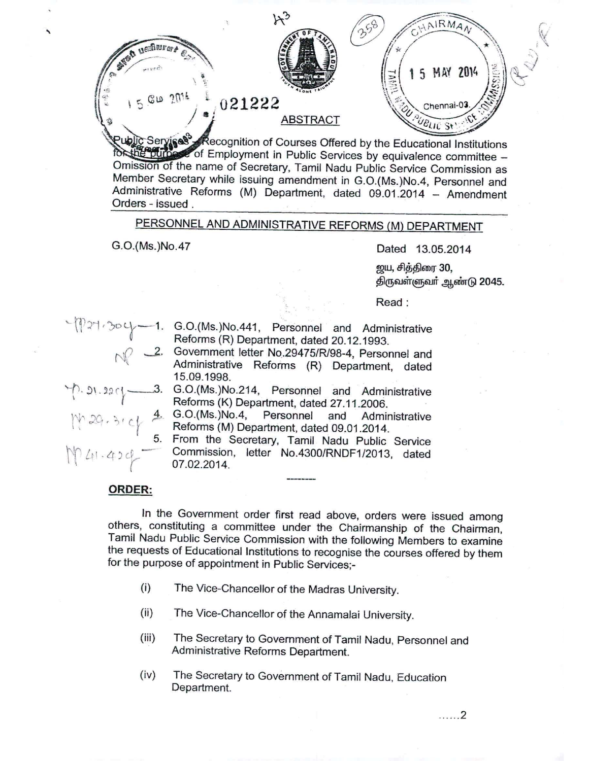AIRMA ~~~~~ *tr// .....,'t"'. ~* 5 MAY 2014  ${\rm \ddot{e}}$ i e de la construcción de la construcción de la construcción de la construcción de la construcción de la const<br>De la construcción de la construcción de la construcción de la construcción de la construcción de la construcc  $\frac{\text{G}}{\text{G}}$  2 $\frac{2014}{1}$ ,  $\frac{1}{2}$ , 021222 Chennai-03 ABSTRACT<br>Recognition of Courses Offered by the Educational Institutions ) a *i* ABSTRACT  $\epsilon$  of Employment in Public Services by equivalence committee -Omission of the name of Secretary, Tamil Nadu Public Service Commission as Member Secretary while issuing amendment in G.O.(Ms.)No.4, Personnel and Administrative Reforms (M) Department, dated 09.01.2014 - Amendment Orders - issued. PERSONNEL AND ADMINISTRATIVE REFORMS (M) DEPARTMENT G.O.(Ms.)No.47 Dated 13.05.2014 <u>ற</u>ய, சித்திரை 30, திருவள்ளுவர் ஆண்டு 2045. Read: -1. G.O.(Ms.)No.441, Personnel and Administrative ~~)J'1'JOLr Reforms (R) Department, dated 20.12.1993. 2. Government letter No.29475/R/98-4, Personnel and Administrative Reforms (R) Department, dated 15.09.1998. *..... fl ~\.* ':HI \_---.;3. G.O.(Ms.)No.214, Personnel and Administrative **Reforms (K) Department, dated 27.11.2006** 4. G.O.(Ms.)No.4, Personnel and Administrative Reforms (M) Department, dated 09.01.2014. 5. From the Secretary, Tamil Nadu Public Service  $\uparrow$  21.424<sup>-</sup> Commission, letter *No.4300/RNDF1/2013,* dated 07.02.2014.

## ORDER:

,<br>,

In the Govemment order first read above, orders were issued among others, constituting a committee under the Chairmanship of the Chairman, Tamil Nadu Public Service Commission with the following Members to examine the requests of Educational Institutions to recognise the courses offered by them for the purpose of appointment in Public Services;-

- (i) The Vice-Chancellor of the Madras University.
- (ii) The Vice-Chancellor of the Annamalai University.
- (iii) The Secretary to Government of Tamil Nadu, Personnel and Administrative Reforms Department.
- (iv) The Secretary to Government of Tamil Nadu, Education Department.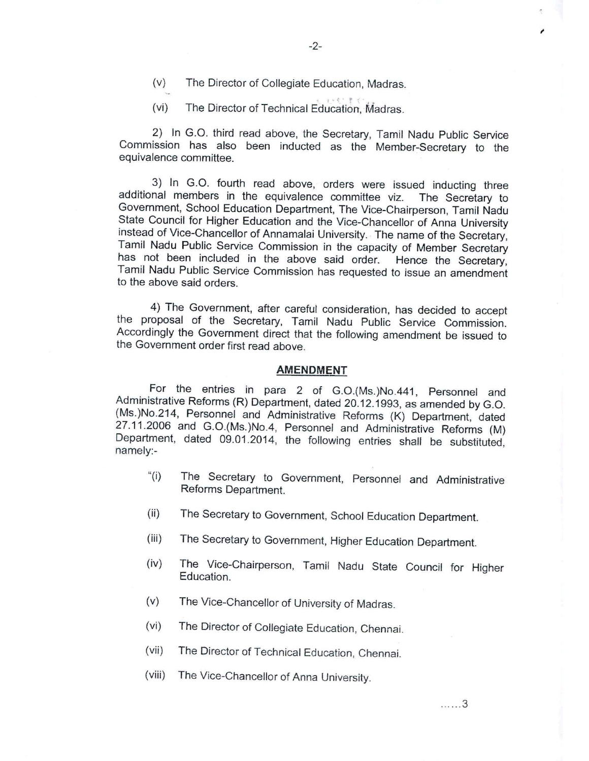(v) The Director of Collegiate Education, Madras.

(vi) The Director of Technical Education, Madras.

2} In G.O. third read above, the Secretary, Tamil Nadu Public Service Commission has also been inducted as the Member-Secretary to the equivalence committee.

3} In G.O. fourth read above, orders were issued inducting three additional members in the equivalence committee viz. The Secretary to Government, School Education Department, The Vice-Chairperson, Tamil Nadu State Council for Higher Education and the Vice-Chancellor of Anna University instead of Vice-Chancellor of Annamalai University.. The name of the Secretary, Tamil Nadu Public Service Commission in the capacity of Member Secretary has not been included in the above said order. Hence the Secretary, Tamil Nadu Public Service Commission has requested to issue an amendment to the above said orders.

4} The Government, after careful consideration, has decided to accept the proposal of the Secretary, Tamil Nadu Public Service Commission. Accordingly the Govemment direct that the following amendment be issued to the Government order first read above.

## **AMENDMENT**

For the entries in para 2 of G.O.(Ms.}No.441, Personnel and Administrative Reforms (R) Department, dated 20.12.1993, as amended by G.O. (Ms.)No.214, Personnel and Administrative Reforms (K) Department, dated 27.11.2006 and G.O.(Ms.)No.4, Personnel and Administrative Reforms (M) Department, dated 09.01.2014, the following entries shall be substituted, namely:-

- "(i) The Secretary to Government, Personnel and Administrative Reforms Department.
- (ii) The Secretary to Government, School Education Department.
- (iii) The Secretary to Government, Higher Education Department.
- (iv) The Vice-Chairperson, Tamil Nadu State Council for Higher Education.
- (v) The Vice-Chancellor of University of Madras.
- (vi) The Director of Collegiate Education, Chennai.
- (vii) The Director of Technical Education, Chennai.
- (viii) The Vice-Chancellor of Anna University.

*I*